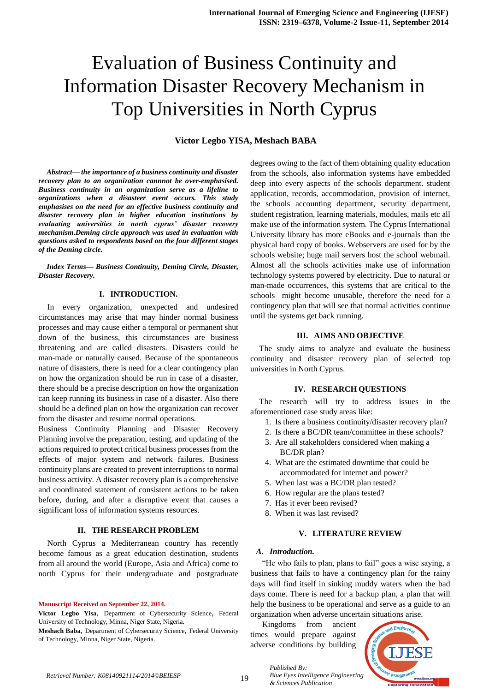# **Victor Legbo YISA, Meshach BABA**

*Abstract— the importance of a business continuity and disaster recovery plan to an organization cannnot be over-emphasised. Business continuity in an organization serve as a lifeline to organizations when a disasteer event occurs. This study emphasises on the need for an effective business continuity and disaster recovery plan in higher education institutions by evaluating universities in north cyprus' disaster recovery mechanism.Deming circle approach was used in evaluation with questions asked to respondents based on the four different stages of the Deming circle.*

*Index Terms— Business Continuity, Deming Circle, Disaster, Disaster Recovery.*

## **I. INTRODUCTION.**

In every organization, unexpected and undesired circumstances may arise that may hinder normal business processes and may cause either a temporal or permanent shut down of the business, this circumstances are business threatening and are called disasters. Disasters could be man-made or naturally caused. Because of the spontaneous nature of disasters, there is need for a clear contingency plan on how the organization should be run in case of a disaster, there should be a precise description on how the organization can keep running its business in case of a disaster. Also there should be a defined plan on how the organization can recover from the disaster and resume normal operations.

Business Continuity Planning and Disaster Recovery Planning involve the preparation, testing, and updating of the actions required to protect critical business processes from the effects of major system and network failures. Business continuity plans are created to prevent interruptions to normal business activity. A disaster recovery plan is a comprehensive and coordinated statement of consistent actions to be taken before, during, and after a disruptive event that causes a significant loss of information systems resources.

#### **II. THE RESEARCH PROBLEM**

North Cyprus a Mediterranean country has recently become famous as a great education destination, students from all around the world (Europe, Asia and Africa) come to north Cyprus for their undergraduate and postgraduate

**Manuscript Received on September 22, 2014.**

**Meshach Baba**, Department of Cybersecurity Science, Federal University of Technology, Minna, Niger State, Nigeria.

degrees owing to the fact of them obtaining quality education from the schools, also information systems have embedded deep into every aspects of the schools department. student application, records, accommodation, provision of internet, the schools accounting department, security department, student registration, learning materials, modules, mails etc all make use of the information system. The Cyprus International University library has more eBooks and e-journals than the physical hard copy of books. Webservers are used for by the schools website; huge mail servers host the school webmail. Almost all the schools activities make use of information technology systems powered by electricity. Due to natural or man-made occurrences, this systems that are critical to the schools might become unusable, therefore the need for a contingency plan that will see that normal activities continue until the systems get back running.

#### **III. AIMS AND OBJECTIVE**

The study aims to analyze and evaluate the business continuity and disaster recovery plan of selected top universities in North Cyprus.

#### **IV. RESEARCH QUESTIONS**

The research will try to address issues in the aforementioned case study areas like:

- 1. Is there a business continuity/disaster recovery plan?
- 2. Is there a BC/DR team/committee in these schools? 3. Are all stakeholders considered when making a
- BC/DR plan?
- 4. What are the estimated downtime that could be accommodated for internet and power?
- 5. When last was a BC/DR plan tested?
- 6. How regular are the plans tested?
- 7. Has it ever been revised?
- 8. When it was last revised?

#### **V. LITERATURE REVIEW**

#### *A. Introduction.*

"He who fails to plan, plans to fail" goes a wise saying, a business that fails to have a contingency plan for the rainy days will find itself in sinking muddy waters when the bad days come. There is need for a backup plan, a plan that will help the business to be operational and serve as a guide to an organization when adverse uncertain situations arise.

Kingdoms from ancient times would prepare against adverse conditions by building

*& Sciences Publication* 

*Published By:*



19 *Retrieval Number: K08140921114/2014©BEIESP*

**Victor Legbo Yisa**, Department of Cybersecurity Science, Federal University of Technology, Minna, Niger State, Nigeria.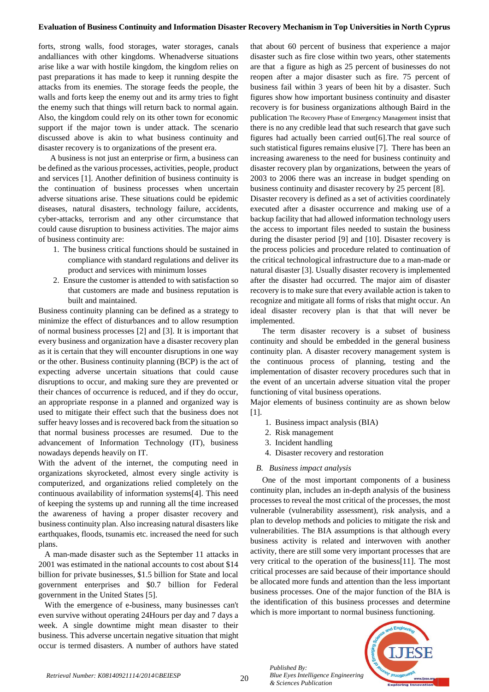forts, strong walls, food storages, water storages, canals andalliances with other kingdoms. Whenadverse situations arise like a war with hostile kingdom, the kingdom relies on past preparations it has made to keep it running despite the attacks from its enemies. The storage feeds the people, the walls and forts keep the enemy out and its army tries to fight the enemy such that things will return back to normal again. Also, the kingdom could rely on its other town for economic support if the major town is under attack. The scenario discussed above is akin to what business continuity and disaster recovery is to organizations of the present era.

A business is not just an enterprise or firm, a business can be defined as the various processes, activities, people, product and services [1]. Another definition of business continuity is the continuation of business processes when uncertain adverse situations arise. These situations could be epidemic diseases, natural disasters, technology failure, accidents, cyber-attacks, terrorism and any other circumstance that could cause disruption to business activities. The major aims of business continuity are:

- 1. The business critical functions should be sustained in compliance with standard regulations and deliver its product and services with minimum losses
- 2. Ensure the customer is attended to with satisfaction so that customers are made and business reputation is built and maintained.

Business continuity planning can be defined as a strategy to minimize the effect of disturbances and to allow resumption of normal business processes [2] and [3]. It is important that every business and organization have a disaster recovery plan as it is certain that they will encounter disruptions in one way or the other. Business continuity planning (BCP) is the act of expecting adverse uncertain situations that could cause disruptions to occur, and making sure they are prevented or their chances of occurrence is reduced, and if they do occur, an appropriate response in a planned and organized way is used to mitigate their effect such that the business does not suffer heavy losses and is recovered back from the situation so that normal business processes are resumed. Due to the advancement of Information Technology (IT), business nowadays depends heavily on IT.

With the advent of the internet, the computing need in organizations skyrocketed, almost every single activity is computerized, and organizations relied completely on the continuous availability of information systems[4]. This need of keeping the systems up and running all the time increased the awareness of having a proper disaster recovery and business continuity plan. Also increasing natural disasters like earthquakes, floods, tsunamis etc. increased the need for such plans.

 A man-made disaster such as the September 11 attacks in 2001 was estimated in the national accounts to cost about \$14 billion for private businesses, \$1.5 billion for State and local government enterprises and \$0.7 billion for Federal government in the United States [5].

 With the emergence of e-business, many businesses can't even survive without operating 24Hours per day and 7 days a week. A single downtime might mean disaster to their business. This adverse uncertain negative situation that might occur is termed disasters. A number of authors have stated

that about 60 percent of business that experience a major disaster such as fire close within two years, other statements are that a figure as high as 25 percent of businesses do not reopen after a major disaster such as fire. 75 percent of business fail within 3 years of been hit by a disaster. Such figures show how important business continuity and disaster recovery is for business organizations although Baird in the publication The Recovery Phase of Emergency Management insist that there is no any credible lead that such research that gave such figures had actually been carried out[6].The real source of such statistical figures remains elusive [7]. There has been an increasing awareness to the need for business continuity and disaster recovery plan by organizations, between the years of 2003 to 2006 there was an increase in budget spending on business continuity and disaster recovery by 25 percent [8].

Disaster recovery is defined as a set of activities coordinately executed after a disaster occurrence and making use of a backup facility that had allowed information technology users the access to important files needed to sustain the business during the disaster period [9] and [10]. Disaster recovery is the process policies and procedure related to continuation of the critical technological infrastructure due to a man-made or natural disaster [3]. Usually disaster recovery is implemented after the disaster had occurred. The major aim of disaster recovery is to make sure that every available action is taken to recognize and mitigate all forms of risks that might occur. An ideal disaster recovery plan is that that will never be implemented.

The term disaster recovery is a subset of business continuity and should be embedded in the general business continuity plan. A disaster recovery management system is the continuous process of planning, testing and the implementation of disaster recovery procedures such that in the event of an uncertain adverse situation vital the proper functioning of vital business operations.

Major elements of business continuity are as shown below [1].

- 1. Business impact analysis (BIA)
- 2. Risk management
- 3. Incident handling
- 4. Disaster recovery and restoration

# *B. Business impact analysis*

One of the most important components of a business continuity plan, includes an in-depth analysis of the business processes to reveal the most critical of the processes, the most vulnerable (vulnerability assessment), risk analysis, and a plan to develop methods and policies to mitigate the risk and vulnerabilities. The BIA assumptions is that although every business activity is related and interwoven with another activity, there are still some very important processes that are very critical to the operation of the business[11]. The most critical processes are said because of their importance should be allocated more funds and attention than the less important business processes. One of the major function of the BIA is the identification of this business processes and determine which is more important to normal business functioning.



*Published By:*

*& Sciences Publication*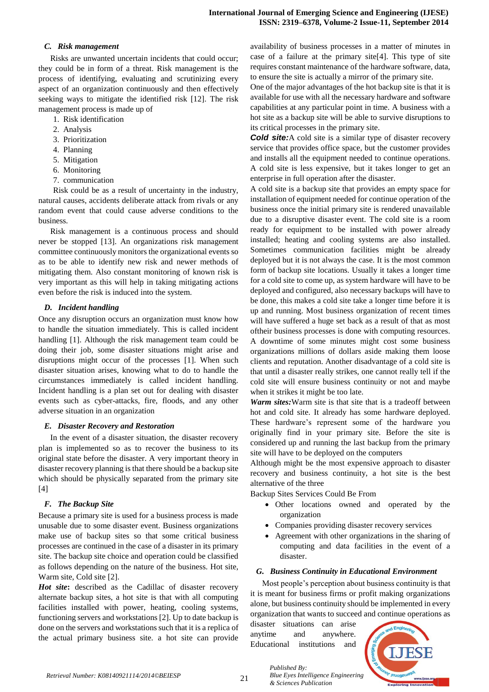## *C. Risk management*

Risks are unwanted uncertain incidents that could occur; they could be in form of a threat. Risk management is the process of identifying, evaluating and scrutinizing every aspect of an organization continuously and then effectively seeking ways to mitigate the identified risk [12]. The risk management process is made up of

- 1. Risk identification
- 2. Analysis
- 3. Prioritization
- 4. Planning
- 5. Mitigation
- 6. Monitoring
- 7. communication

Risk could be as a result of uncertainty in the industry, natural causes, accidents deliberate attack from rivals or any random event that could cause adverse conditions to the business.

Risk management is a continuous process and should never be stopped [13]. An organizations risk management committee continuously monitors the organizational events so as to be able to identify new risk and newer methods of mitigating them. Also constant monitoring of known risk is very important as this will help in taking mitigating actions even before the risk is induced into the system.

# *D. Incident handling*

Once any disruption occurs an organization must know how to handle the situation immediately. This is called incident handling [1]. Although the risk management team could be doing their job, some disaster situations might arise and disruptions might occur of the processes [1]. When such disaster situation arises, knowing what to do to handle the circumstances immediately is called incident handling. Incident handling is a plan set out for dealing with disaster events such as cyber-attacks, fire, floods, and any other adverse situation in an organization

# *E. Disaster Recovery and Restoration*

In the event of a disaster situation, the disaster recovery plan is implemented so as to recover the business to its original state before the disaster. A very important theory in disaster recovery planning is that there should be a backup site which should be physically separated from the primary site [4]

# *F. The Backup Site*

Because a primary site is used for a business process is made unusable due to some disaster event. Business organizations make use of backup sites so that some critical business processes are continued in the case of a disaster in its primary site. The backup site choice and operation could be classified as follows depending on the nature of the business. Hot site, Warm site, Cold site [2].

Hot site: described as the Cadillac of disaster recovery alternate backup sites, a hot site is that with all computing facilities installed with power, heating, cooling systems, functioning servers and workstations [2]. Up to date backup is done on the servers and workstations such that it is a replica of the actual primary business site. a hot site can provide availability of business processes in a matter of minutes in case of a failure at the primary site[4]. This type of site requires constant maintenance of the hardware software, data, to ensure the site is actually a mirror of the primary site.

One of the major advantages of the hot backup site is that it is available for use with all the necessary hardware and software capabilities at any particular point in time. A business with a hot site as a backup site will be able to survive disruptions to its critical processes in the primary site.

**Cold site:**A cold site is a similar type of disaster recovery service that provides office space, but the customer provides and installs all the equipment needed to continue operations. A cold site is less expensive, but it takes longer to get an enterprise in full operation after the disaster.

A cold site is a backup site that provides an empty space for installation of equipment needed for continue operation of the business once the initial primary site is rendered unavailable due to a disruptive disaster event. The cold site is a room ready for equipment to be installed with power already installed; heating and cooling systems are also installed. Sometimes communication facilities might be already deployed but it is not always the case. It is the most common form of backup site locations. Usually it takes a longer time for a cold site to come up, as system hardware will have to be deployed and configured, also necessary backups will have to be done, this makes a cold site take a longer time before it is up and running. Most business organization of recent times will have suffered a huge set back as a result of that as most oftheir business processes is done with computing resources. A downtime of some minutes might cost some business organizations millions of dollars aside making them loose clients and reputation. Another disadvantage of a cold site is that until a disaster really strikes, one cannot really tell if the cold site will ensure business continuity or not and maybe when it strikes it might be too late.

*Warm sites:*Warm site is that site that is a tradeoff between hot and cold site. It already has some hardware deployed. These hardware's represent some of the hardware you originally find in your primary site. Before the site is considered up and running the last backup from the primary site will have to be deployed on the computers

Although might be the most expensive approach to disaster recovery and business continuity, a hot site is the best alternative of the three

Backup Sites Services Could Be From

- Other locations owned and operated by the organization
- Companies providing disaster recovery services
- Agreement with other organizations in the sharing of computing and data facilities in the event of a disaster.

# *G. Business Continuity in Educational Environment*

Most people's perception about business continuity is that it is meant for business firms or profit making organizations alone, but business continuity should be implemented in every organization that wants to succeed and continue operations as

disaster situations can arise anytime and anywhere. Educational institutions and

*& Sciences Publication* 

*Published By:*



21 *Retrieval Number: K08140921114/2014©BEIESP*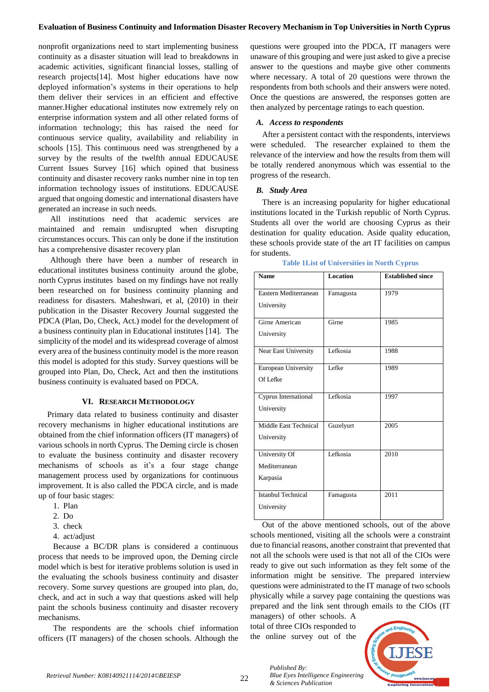nonprofit organizations need to start implementing business continuity as a disaster situation will lead to breakdowns in academic activities, significant financial losses, stalling of research projects[14]. Most higher educations have now deployed information's systems in their operations to help them deliver their services in an efficient and effective manner.Higher educational institutes now extremely rely on enterprise information system and all other related forms of information technology; this has raised the need for continuous service quality, availability and reliability in schools [15]. This continuous need was strengthened by a survey by the results of the twelfth annual EDUCAUSE Current Issues Survey [16] which opined that business continuity and disaster recovery ranks number nine in top ten information technology issues of institutions. EDUCAUSE argued that ongoing domestic and international disasters have generated an increase in such needs.

All institutions need that academic services are maintained and remain undisrupted when disrupting circumstances occurs. This can only be done if the institution has a comprehensive disaster recovery plan

Although there have been a number of research in educational institutes business continuity around the globe, north Cyprus institutes based on my findings have not really been researched on for business continuity planning and readiness for disasters. Maheshwari, et al, (2010) in their publication in the Disaster Recovery Journal suggested the PDCA (Plan, Do, Check, Act.) model for the development of a business continuity plan in Educational institutes [14]. The simplicity of the model and its widespread coverage of almost every area of the business continuity model is the more reason this model is adopted for this study. Survey questions will be grouped into Plan, Do, Check, Act and then the institutions business continuity is evaluated based on PDCA.

### **VI. RESEARCH METHODOLOGY**

Primary data related to business continuity and disaster recovery mechanisms in higher educational institutions are obtained from the chief information officers (IT managers) of various schools in north Cyprus. The Deming circle is chosen to evaluate the business continuity and disaster recovery mechanisms of schools as it's a four stage change management process used by organizations for continuous improvement. It is also called the PDCA circle, and is made up of four basic stages:

- 1. Plan
- 2. Do
- 3. check
- 4. act/adjust

Because a BC/DR plans is considered a continuous process that needs to be improved upon, the Deming circle model which is best for iterative problems solution is used in the evaluating the schools business continuity and disaster recovery. Some survey questions are grouped into plan, do, check, and act in such a way that questions asked will help paint the schools business continuity and disaster recovery mechanisms.

The respondents are the schools chief information officers (IT managers) of the chosen schools. Although the questions were grouped into the PDCA, IT managers were unaware of this grouping and were just asked to give a precise answer to the questions and maybe give other comments where necessary. A total of 20 questions were thrown the respondents from both schools and their answers were noted. Once the questions are answered, the responses gotten are then analyzed by percentage ratings to each question.

#### *A. Access to respondents*

After a persistent contact with the respondents, interviews were scheduled. The researcher explained to them the relevance of the interview and how the results from them will be totally rendered anonymous which was essential to the progress of the research.

#### *B. Study Area*

There is an increasing popularity for higher educational institutions located in the Turkish republic of North Cyprus. Students all over the world are choosing Cyprus as their destination for quality education. Aside quality education, these schools provide state of the art IT facilities on campus for students.

|  |  | <b>Table 1List of Universities in North Cyprus</b> |  |  |
|--|--|----------------------------------------------------|--|--|
|--|--|----------------------------------------------------|--|--|

| <b>Name</b>           | <b>Location</b> | <b>Established since</b> |
|-----------------------|-----------------|--------------------------|
|                       |                 |                          |
| Eastern Mediterranean | Famagusta       | 1979                     |
| University            |                 |                          |
|                       |                 |                          |
| Girne American        | Girne           | 1985                     |
| University            |                 |                          |
| Near East University  | Lefkosia        | 1988                     |
|                       |                 |                          |
| European University   | Lefke           | 1989                     |
| Of Lefke              |                 |                          |
|                       |                 |                          |
| Cyprus International  | Lefkosia        | 1997                     |
| University            |                 |                          |
| Middle East Technical | Guzelyurt       | 2005                     |
|                       |                 |                          |
| University            |                 |                          |
| University Of         | Lefkosia        | 2010                     |
| Mediterranean         |                 |                          |
| Karpasia              |                 |                          |
|                       |                 |                          |
| Istanbul Technical    | Famagusta       | 2011                     |
| University            |                 |                          |
|                       |                 |                          |

Out of the above mentioned schools, out of the above schools mentioned, visiting all the schools were a constraint due to financial reasons, another constraint that prevented that not all the schools were used is that not all of the CIOs were ready to give out such information as they felt some of the information might be sensitive. The prepared interview questions were administrated to the IT manage of two schools physically while a survey page containing the questions was prepared and the link sent through emails to the CIOs (IT managers) of other schools. A

total of three CIOs responded to the online survey out of the

*& Sciences Publication* 

*Published By:*

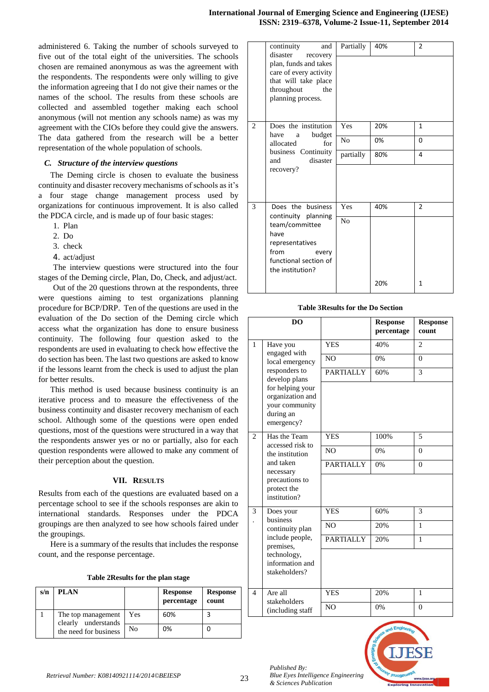administered 6. Taking the number of schools surveyed to five out of the total eight of the universities. The schools chosen are remained anonymous as was the agreement with the respondents. The respondents were only willing to give the information agreeing that I do not give their names or the names of the school. The results from these schools are collected and assembled together making each school anonymous (will not mention any schools name) as was my agreement with the CIOs before they could give the answers. The data gathered from the research will be a better representation of the whole population of schools.

#### *C. Structure of the interview questions*

The Deming circle is chosen to evaluate the business continuity and disaster recovery mechanisms of schools as it's a four stage change management process used by organizations for continuous improvement. It is also called the PDCA circle, and is made up of four basic stages:

- 1. Plan
- 2. Do
- 3. check
- 4. act/adjust

The interview questions were structured into the four stages of the Deming circle, Plan, Do, Check, and adjust/act.

Out of the 20 questions thrown at the respondents, three were questions aiming to test organizations planning procedure for BCP/DRP. Ten of the questions are used in the evaluation of the Do section of the Deming circle which access what the organization has done to ensure business continuity. The following four question asked to the respondents are used in evaluating to check how effective the do section has been. The last two questions are asked to know if the lessons learnt from the check is used to adjust the plan for better results.

This method is used because business continuity is an iterative process and to measure the effectiveness of the business continuity and disaster recovery mechanism of each school. Although some of the questions were open ended questions, most of the questions were structured in a way that the respondents answer yes or no or partially, also for each question respondents were allowed to make any comment of their perception about the question.

## **VII. RESULTS**

Results from each of the questions are evaluated based on a percentage school to see if the schools responses are akin to international standards. Responses under the PDCA groupings are then analyzed to see how schools faired under the groupings.

Here is a summary of the results that includes the response count, and the response percentage.

| Table 2Results for the plan stage |  |  |  |  |
|-----------------------------------|--|--|--|--|
|-----------------------------------|--|--|--|--|

| s/n | PLAN                                      |     | <b>Response</b><br>percentage | <b>Response</b><br>count |
|-----|-------------------------------------------|-----|-------------------------------|--------------------------|
|     | The top management<br>clearly understands | Yes | 60%                           |                          |
|     | the need for business                     | No  | 0%                            |                          |

|                | continuity<br>and<br>disaster<br>recovery                                                                         | Partially      | 40% | $\overline{2}$ |
|----------------|-------------------------------------------------------------------------------------------------------------------|----------------|-----|----------------|
|                | plan, funds and takes<br>care of every activity<br>that will take place<br>throughout<br>the<br>planning process. |                |     |                |
| $\overline{2}$ | Does the institution<br>budget<br>have<br>a                                                                       | Yes            | 20% | 1              |
|                | for<br>allocated<br>business Continuity<br>disaster<br>and                                                        | No             | 0%  | 0              |
|                |                                                                                                                   | partially      | 80% | 4              |
| recovery?      |                                                                                                                   |                |     |                |
| 3              | Does the business<br>continuity planning                                                                          | Yes            | 40% | $\mathfrak{p}$ |
|                | team/committee<br>have<br>representatives<br>from<br>every<br>functional section of<br>the institution?           | N <sub>0</sub> |     |                |
|                |                                                                                                                   |                | 20% | 1              |

**Table 3Results for the Do Section**

|                | D <sub>O</sub>                                                                    |                  | <b>Response</b><br>percentage | <b>Response</b><br>count |
|----------------|-----------------------------------------------------------------------------------|------------------|-------------------------------|--------------------------|
| $\mathbf{1}$   | Have you<br>engaged with                                                          | <b>YES</b>       | 40%                           | $\mathfrak{D}$           |
|                | local emergency                                                                   | N <sub>O</sub>   | 0%                            | $\theta$                 |
|                | responders to<br>develop plans                                                    | <b>PARTIALLY</b> | 60%                           | 3                        |
|                | for helping your<br>organization and<br>your community<br>during an<br>emergency? |                  |                               |                          |
| $\overline{2}$ | Has the Team<br>accessed risk to                                                  | <b>YES</b>       | 100%                          | 5                        |
|                | the institution                                                                   | N <sub>O</sub>   | 0%                            | $\Omega$                 |
|                | and taken<br>necessary                                                            | <b>PARTIALLY</b> | 0%                            | $\theta$                 |
|                | precautions to<br>protect the<br>institution?                                     |                  |                               |                          |
| 3              | Does your<br>business                                                             | <b>YES</b>       | 60%                           | 3                        |
|                | continuity plan                                                                   | N <sub>O</sub>   | 20%                           | $\mathbf{1}$             |
|                | include people,<br>premises,                                                      | <b>PARTIALLY</b> | 20%                           | $\mathbf{1}$             |
|                | technology,<br>information and<br>stakeholders?                                   |                  |                               |                          |
| $\overline{4}$ | Are all<br>stakeholders                                                           | <b>YES</b>       | 20%                           | $\mathbf{1}$             |
|                | (including staff                                                                  | N <sub>O</sub>   | 0%                            | $\theta$                 |



*Published By:*

*Blue Eyes Intelligence Engineering* 

*& Sciences Publication*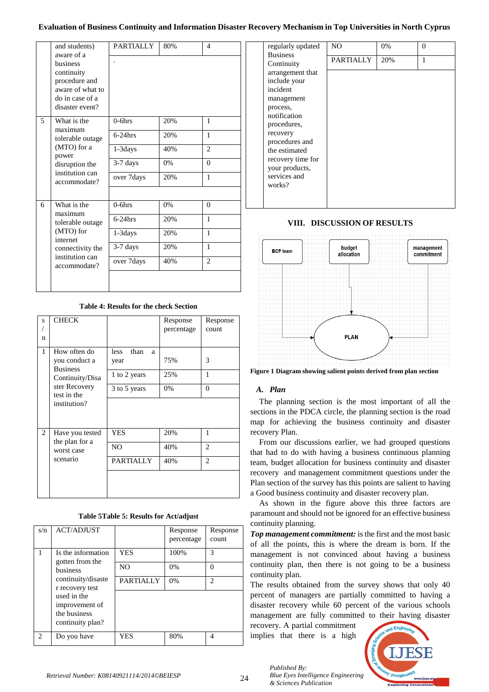|                 | and students)<br>aware of a                                                                       | <b>PARTIALLY</b> | 80% | 4              |
|-----------------|---------------------------------------------------------------------------------------------------|------------------|-----|----------------|
|                 | husiness<br>continuity<br>procedure and<br>aware of what to<br>do in case of a<br>disaster event? |                  |     |                |
| 5               | What is the<br>maximum                                                                            | $0-6$ hrs        | 20% | 1              |
|                 | tolerable outage                                                                                  | $6-24$ hrs       | 20% | $\mathbf{1}$   |
|                 | (MTO) for a<br>power<br>disruption the                                                            | 1-3 days         | 40% | $\overline{c}$ |
|                 |                                                                                                   | 3-7 days         | 0%  | $\theta$       |
|                 | institution can<br>accommodate?                                                                   | over 7days       | 20% | 1              |
|                 |                                                                                                   |                  |     |                |
| 6               | What is the<br>maximum                                                                            | $0-6$ hrs        | 0%  | $\theta$       |
|                 | tolerable outage                                                                                  | $6-24$ hrs       | 20% | 1              |
|                 | (MTO) for<br>internet<br>connectivity the                                                         | $1-3$ days       | 20% | $\mathbf{1}$   |
|                 |                                                                                                   | $3-7$ days       | 20% | $\mathbf{1}$   |
| institution can | accommodate?                                                                                      | over 7 days      | 40% | $\overline{2}$ |
|                 |                                                                                                   |                  |     |                |

**Table 4: Results for the check Section**

| S<br>n         | <b>CHECK</b>                                                        |                                           | Response<br>percentage | Response<br>count |
|----------------|---------------------------------------------------------------------|-------------------------------------------|------------------------|-------------------|
| $\mathbf{1}$   | How often do<br>you conduct a<br><b>Business</b><br>Continuity/Disa | than<br>less<br>a<br>year<br>1 to 2 years | 75%<br>25%             | 3<br>1            |
|                | ster Recovery<br>test in the<br>institution?                        | 3 to 5 years                              | 0%                     | $\Omega$          |
| $\overline{2}$ | Have you tested                                                     | YES                                       | 20%                    | 1                 |
|                | the plan for a<br>worst case<br>scenario                            | N <sub>O</sub>                            | 40%                    | $\overline{2}$    |
|                |                                                                     | PARTIALLY                                 | 40%                    | $\overline{c}$    |
|                |                                                                     |                                           |                        |                   |

**Table 5Table 5: Results for Act/adjust**

| s/n | <b>ACT/ADJUST</b>                     |                  | Response<br>percentage | Response<br>count           |
|-----|---------------------------------------|------------------|------------------------|-----------------------------|
|     | Is the information<br>gotten from the | <b>YES</b>       | 100%                   | 3                           |
|     | business                              | N <sub>O</sub>   | 0%                     | $\Omega$                    |
|     | continuity/disaste<br>r recovery test | <b>PARTIALLY</b> | 0%                     | $\mathcal{D}_{\mathcal{A}}$ |
|     | used in the<br>improvement of         |                  |                        |                             |
|     | the business<br>continuity plan?      |                  |                        |                             |
| 2   | Do you have                           | YES              | 80%                    | 4                           |

| regularly updated | N <sub>O</sub>   | 0%  | 0 |
|-------------------|------------------|-----|---|
| <b>Business</b>   | <b>PARTIALLY</b> | 20% | 1 |
| Continuity        |                  |     |   |
| arrangement that  |                  |     |   |
| include your      |                  |     |   |
| incident          |                  |     |   |
| management        |                  |     |   |
| process,          |                  |     |   |
| notification      |                  |     |   |
| procedures,       |                  |     |   |
| recovery          |                  |     |   |
| procedures and    |                  |     |   |
| the estimated     |                  |     |   |
| recovery time for |                  |     |   |
| your products,    |                  |     |   |
| services and      |                  |     |   |
| works?            |                  |     |   |
|                   |                  |     |   |
|                   |                  |     |   |

## **VIII. DISCUSSION OF RESULTS**



**Figure 1 Diagram showing salient points derived from plan section**

# *A. Plan*

The planning section is the most important of all the sections in the PDCA circle, the planning section is the road map for achieving the business continuity and disaster recovery Plan.

From our discussions earlier, we had grouped questions that had to do with having a business continuous planning team, budget allocation for business continuity and disaster recovery and management commitment questions under the Plan section of the survey has this points are salient to having a Good business continuity and disaster recovery plan.

As shown in the figure above this three factors are paramount and should not be ignored for an effective business continuity planning.

*Top management commitment:* is the first and the most basic of all the points, this is where the dream is born. If the management is not convinced about having a business continuity plan, then there is not going to be a business continuity plan.

The results obtained from the survey shows that only 40 percent of managers are partially committed to having a disaster recovery while 60 percent of the various schools management are fully committed to their having disaster

recovery. A partial commitment implies that there is a high

> *Blue Eyes Intelligence Engineering & Sciences Publication*

*Published By:*

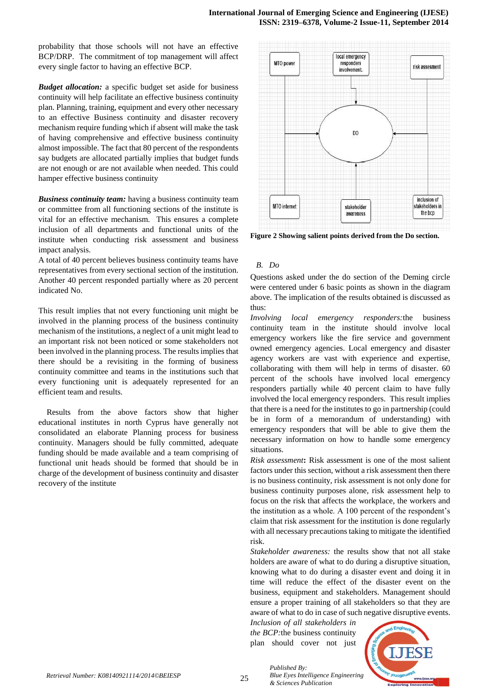probability that those schools will not have an effective BCP/DRP. The commitment of top management will affect every single factor to having an effective BCP.

*Budget allocation:* a specific budget set aside for business continuity will help facilitate an effective business continuity plan. Planning, training, equipment and every other necessary to an effective Business continuity and disaster recovery mechanism require funding which if absent will make the task of having comprehensive and effective business continuity almost impossible. The fact that 80 percent of the respondents say budgets are allocated partially implies that budget funds are not enough or are not available when needed. This could hamper effective business continuity

*Business continuity team:* having a business continuity team or committee from all functioning sections of the institute is vital for an effective mechanism. This ensures a complete inclusion of all departments and functional units of the institute when conducting risk assessment and business impact analysis.

A total of 40 percent believes business continuity teams have representatives from every sectional section of the institution. Another 40 percent responded partially where as 20 percent indicated No.

This result implies that not every functioning unit might be involved in the planning process of the business continuity mechanism of the institutions, a neglect of a unit might lead to an important risk not been noticed or some stakeholders not been involved in the planning process. The results implies that there should be a revisiting in the forming of business continuity committee and teams in the institutions such that every functioning unit is adequately represented for an efficient team and results.

Results from the above factors show that higher educational institutes in north Cyprus have generally not consolidated an elaborate Planning process for business continuity. Managers should be fully committed, adequate funding should be made available and a team comprising of functional unit heads should be formed that should be in charge of the development of business continuity and disaster recovery of the institute



**Figure 2 Showing salient points derived from the Do section.**

# *B. Do*

Questions asked under the do section of the Deming circle were centered under 6 basic points as shown in the diagram above. The implication of the results obtained is discussed as thus:

*Involving local emergency responders:*the business continuity team in the institute should involve local emergency workers like the fire service and government owned emergency agencies. Local emergency and disaster agency workers are vast with experience and expertise, collaborating with them will help in terms of disaster. 60 percent of the schools have involved local emergency responders partially while 40 percent claim to have fully involved the local emergency responders. This result implies that there is a need for the institutes to go in partnership (could be in form of a memorandum of understanding) with emergency responders that will be able to give them the necessary information on how to handle some emergency situations.

*Risk assessment***:** Risk assessment is one of the most salient factors under this section, without a risk assessment then there is no business continuity, risk assessment is not only done for business continuity purposes alone, risk assessment help to focus on the risk that affects the workplace, the workers and the institution as a whole. A 100 percent of the respondent's claim that risk assessment for the institution is done regularly with all necessary precautions taking to mitigate the identified risk.

*Stakeholder awareness:* the results show that not all stake holders are aware of what to do during a disruptive situation, knowing what to do during a disaster event and doing it in time will reduce the effect of the disaster event on the business, equipment and stakeholders. Management should ensure a proper training of all stakeholders so that they are aware of what to do in case of such negative disruptive events.

*Inclusion of all stakeholders in the BCP:*the business continuity plan should cover not just



*Published By: Blue Eyes Intelligence Engineering & Sciences Publication*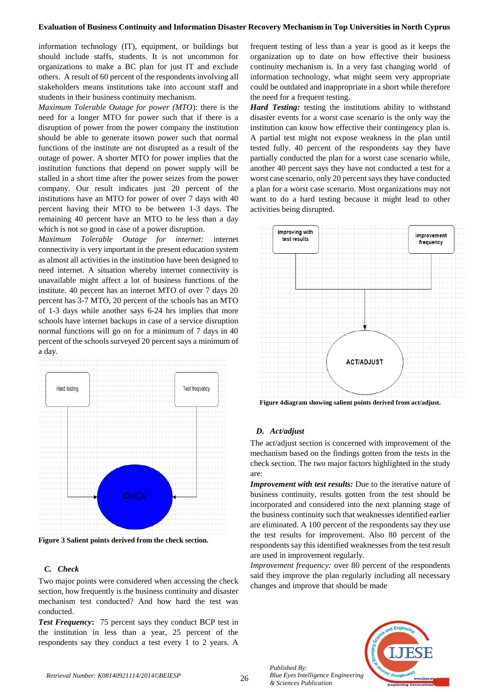information technology (IT), equipment, or buildings but should include staffs, students. It is not uncommon for organizations to make a BC plan for just IT and exclude others. A result of 60 percent of the respondents involving all stakeholders means institutions take into account staff and students in their business continuity mechanism.

*Maximum Tolerable Outage for power (MTO*): there is the need for a longer MTO for power such that if there is a disruption of power from the power company the institution should be able to generate itsown power such that normal functions of the institute are not disrupted as a result of the outage of power. A shorter MTO for power implies that the institution functions that depend on power supply will be stalled in a short time after the power seizes from the power company. Our result indicates just 20 percent of the institutions have an MTO for power of over 7 days with 40 percent having their MTO to be between 1-3 days. The remaining 40 percent have an MTO to be less than a day which is not so good in case of a power disruption.

*Maximum Tolerable Outage for internet:* internet connectivity is very important in the present education system as almost all activities in the institution have been designed to need internet. A situation whereby internet connectivity is unavailable might affect a lot of business functions of the institute. 40 percent has an internet MTO of over 7 days 20 percent has 3-7 MTO, 20 percent of the schools has an MTO of 1-3 days while another says 6-24 hrs implies that more schools have internet backups in case of a service disruption normal functions will go on for a minimum of 7 days in 40 percent of the schools surveyed 20 percent says a minimum of a day.



**Figure 3 Salient points derived from the check section.**

# *C. Check*

Two major points were considered when accessing the check section, how frequently is the business continuity and disaster mechanism test conducted? And how hard the test was conducted.

*Test Frequency***:** 75 percent says they conduct BCP test in the institution in less than a year, 25 percent of the respondents say they conduct a test every 1 to 2 years. A frequent testing of less than a year is good as it keeps the organization up to date on how effective their business continuity mechanism is. In a very fast changing world of information technology, what might seem very appropriate could be outdated and inappropriate in a short while therefore the need for a frequent testing.

*Hard Testing:* testing the institutions ability to withstand disaster events for a worst case scenario is the only way the institution can know how effective their contingency plan is. A partial test might not expose weakness in the plan until tested fully. 40 percent of the respondents say they have partially conducted the plan for a worst case scenario while, another 40 percent says they have not conducted a test for a worst case scenario, only 20 percent says they have conducted a plan for a worst case scenario. Most organizations may not want to do a hard testing because it might lead to other activities being disrupted.



**Figure 4diagram showing salient points derived from act/adjust.**

# *D. Act/adjust*

The act/adjust section is concerned with improvement of the mechanism based on the findings gotten from the tests in the check section. The two major factors highlighted in the study are:

*Improvement with test results:* Due to the iterative nature of business continuity, results gotten from the test should be incorporated and considered into the next planning stage of the business continuity such that weaknesses identified earlier are eliminated. A 100 percent of the respondents say they use the test results for improvement. Also 80 percent of the respondents say this identified weaknesses from the test result are used in improvement regularly.

*Improvement frequency:* over 80 percent of the respondents said they improve the plan regularly including all necessary changes and improve that should be made



*Published By:*

*& Sciences Publication*